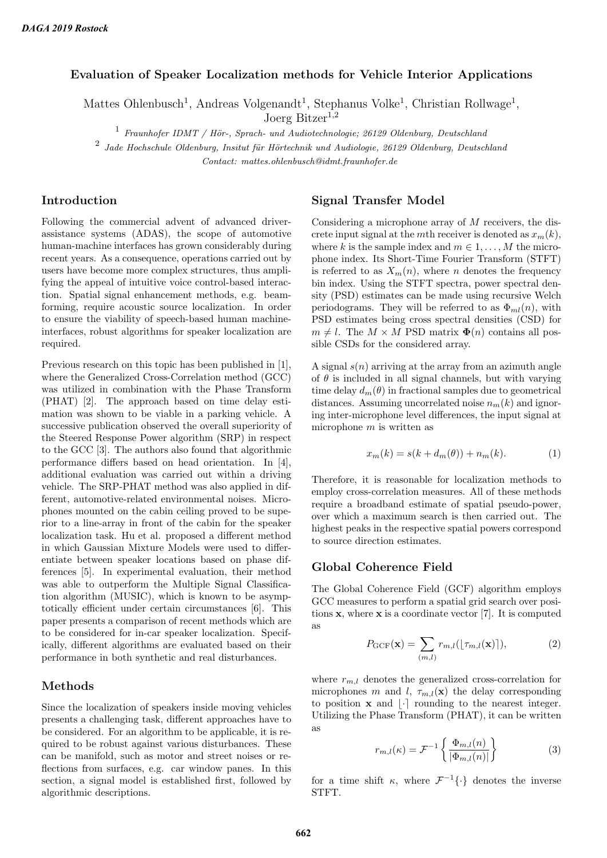## Evaluation of Speaker Localization methods for Vehicle Interior Applications

Mattes Ohlenbusch<sup>1</sup>, Andreas Volgenandt<sup>1</sup>, Stephanus Volke<sup>1</sup>, Christian Rollwage<sup>1</sup>,

Joerg Bitzer<sup>1,2</sup>

 $1$  Fraunhofer IDMT / Hör-, Sprach- und Audiotechnologie; 26129 Oldenburg, Deutschland

2 Jade Hochschule Oldenburg, Insitut für Hörtechnik und Audiologie, 26129 Oldenburg, Deutschland Contact: mattes.ohlenbusch@idmt.fraunhofer.de

### Introduction

Following the commercial advent of advanced driverassistance systems (ADAS), the scope of automotive human-machine interfaces has grown considerably during recent years. As a consequence, operations carried out by users have become more complex structures, thus amplifying the appeal of intuitive voice control-based interaction. Spatial signal enhancement methods, e.g. beamforming, require acoustic source localization. In order to ensure the viability of speech-based human machineinterfaces, robust algorithms for speaker localization are required.

Previous research on this topic has been published in [1], where the Generalized Cross-Correlation method (GCC) was utilized in combination with the Phase Transform (PHAT) [2]. The approach based on time delay estimation was shown to be viable in a parking vehicle. A successive publication observed the overall superiority of the Steered Response Power algorithm (SRP) in respect to the GCC [3]. The authors also found that algorithmic performance differs based on head orientation. In [4], additional evaluation was carried out within a driving vehicle. The SRP-PHAT method was also applied in different, automotive-related environmental noises. Microphones mounted on the cabin ceiling proved to be superior to a line-array in front of the cabin for the speaker localization task. Hu et al. proposed a different method in which Gaussian Mixture Models were used to differentiate between speaker locations based on phase differences [5]. In experimental evaluation, their method was able to outperform the Multiple Signal Classification algorithm (MUSIC), which is known to be asymptotically efficient under certain circumstances [6]. This paper presents a comparison of recent methods which are to be considered for in-car speaker localization. Specifically, different algorithms are evaluated based on their performance in both synthetic and real disturbances.

## Methods

Since the localization of speakers inside moving vehicles presents a challenging task, different approaches have to be considered. For an algorithm to be applicable, it is required to be robust against various disturbances. These can be manifold, such as motor and street noises or reflections from surfaces, e.g. car window panes. In this section, a signal model is established first, followed by algorithmic descriptions.

## Signal Transfer Model

Considering a microphone array of M receivers, the discrete input signal at the mth receiver is denoted as  $x_m(k)$ , where k is the sample index and  $m \in 1, \ldots, M$  the microphone index. Its Short-Time Fourier Transform (STFT) is referred to as  $X_m(n)$ , where n denotes the frequency bin index. Using the STFT spectra, power spectral density (PSD) estimates can be made using recursive Welch periodograms. They will be referred to as  $\Phi_{ml}(n)$ , with PSD estimates being cross spectral densities (CSD) for  $m \neq l$ . The  $M \times M$  PSD matrix  $\Phi(n)$  contains all possible CSDs for the considered array.

A signal  $s(n)$  arriving at the array from an azimuth angle of  $\theta$  is included in all signal channels, but with varying time delay  $d_m(\theta)$  in fractional samples due to geometrical distances. Assuming uncorrelated noise  $n_m(k)$  and ignoring inter-microphone level differences, the input signal at microphone  $m$  is written as

$$
x_m(k) = s(k + d_m(\theta)) + n_m(k).
$$
 (1)

Therefore, it is reasonable for localization methods to employ cross-correlation measures. All of these methods require a broadband estimate of spatial pseudo-power, over which a maximum search is then carried out. The highest peaks in the respective spatial powers correspond to source direction estimates.

#### Global Coherence Field

The Global Coherence Field (GCF) algorithm employs GCC measures to perform a spatial grid search over positions  $x$ , where  $x$  is a coordinate vector [7]. It is computed as

$$
P_{\text{GCF}}(\mathbf{x}) = \sum_{(m,l)} r_{m,l}(\lfloor \tau_{m,l}(\mathbf{x}) \rfloor), \tag{2}
$$

where  $r_{m,l}$  denotes the generalized cross-correlation for microphones m and l,  $\tau_{m,l}(\mathbf{x})$  the delay corresponding to position  $x$  and  $\lfloor \cdot \rfloor$  rounding to the nearest integer. Utilizing the Phase Transform (PHAT), it can be written as

$$
r_{m,l}(\kappa) = \mathcal{F}^{-1}\left\{\frac{\Phi_{m,l}(n)}{|\Phi_{m,l}(n)|}\right\} \tag{3}
$$

for a time shift  $\kappa$ , where  $\mathcal{F}^{-1}\{\cdot\}$  denotes the inverse STFT.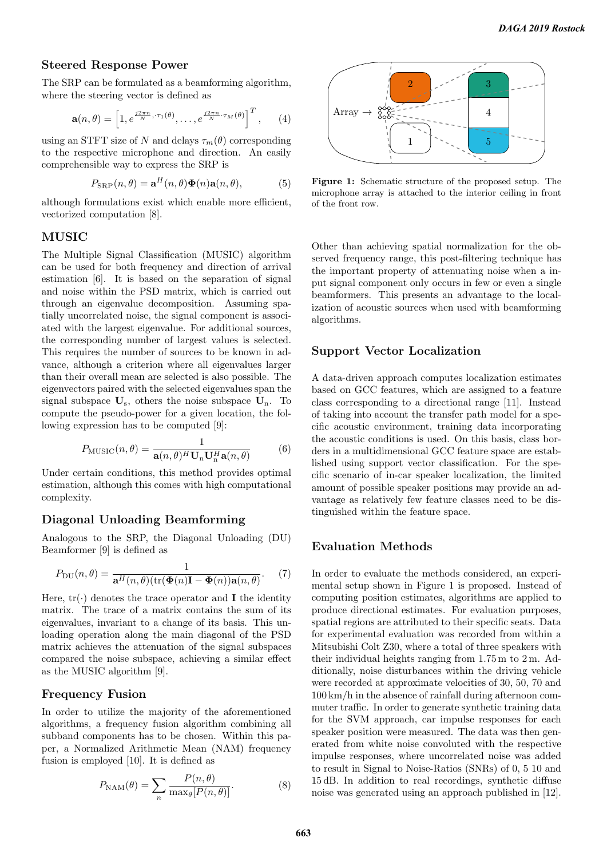#### Steered Response Power

The SRP can be formulated as a beamforming algorithm, where the steering vector is defined as

$$
\mathbf{a}(n,\theta) = \left[1, e^{\frac{j2\pi n}{N}, \tau_1(\theta)}, \dots, e^{\frac{j2\pi n}{N}\cdot \tau_M(\theta)}\right]^T, \qquad (4)
$$

using an STFT size of N and delays  $\tau_m(\theta)$  corresponding to the respective microphone and direction. An easily comprehensible way to express the SRP is

$$
P_{\text{SRP}}(n,\theta) = \mathbf{a}^{H}(n,\theta)\mathbf{\Phi}(n)\mathbf{a}(n,\theta),\tag{5}
$$

although formulations exist which enable more efficient, vectorized computation [8].

#### MUSIC

The Multiple Signal Classification (MUSIC) algorithm can be used for both frequency and direction of arrival estimation [6]. It is based on the separation of signal and noise within the PSD matrix, which is carried out through an eigenvalue decomposition. Assuming spatially uncorrelated noise, the signal component is associated with the largest eigenvalue. For additional sources, the corresponding number of largest values is selected. This requires the number of sources to be known in advance, although a criterion where all eigenvalues larger than their overall mean are selected is also possible. The eigenvectors paired with the selected eigenvalues span the signal subspace  $U_s$ , others the noise subspace  $U_n$ . To compute the pseudo-power for a given location, the following expression has to be computed [9]:

$$
P_{\text{MUSIC}}(n,\theta) = \frac{1}{\mathbf{a}(n,\theta)^H \mathbf{U}_n \mathbf{U}_n^H \mathbf{a}(n,\theta)}
$$
(6)

Under certain conditions, this method provides optimal estimation, although this comes with high computational complexity.

#### Diagonal Unloading Beamforming

Analogous to the SRP, the Diagonal Unloading (DU) Beamformer [9] is defined as

$$
P_{\rm DU}(n,\theta) = \frac{1}{\mathbf{a}^H(n,\theta)(\text{tr}(\mathbf{\Phi}(n)\mathbf{I} - \mathbf{\Phi}(n))\mathbf{a}(n,\theta)}.
$$
 (7)

Here,  $tr(\cdot)$  denotes the trace operator and **I** the identity matrix. The trace of a matrix contains the sum of its eigenvalues, invariant to a change of its basis. This unloading operation along the main diagonal of the PSD matrix achieves the attenuation of the signal subspaces compared the noise subspace, achieving a similar effect as the MUSIC algorithm [9].

### Frequency Fusion

In order to utilize the majority of the aforementioned algorithms, a frequency fusion algorithm combining all subband components has to be chosen. Within this paper, a Normalized Arithmetic Mean (NAM) frequency fusion is employed [10]. It is defined as

$$
P_{\text{NAM}}(\theta) = \sum_{n} \frac{P(n,\theta)}{\max_{\theta} [P(n,\theta)]}.
$$
 (8)



Figure 1: Schematic structure of the proposed setup. The microphone array is attached to the interior ceiling in front of the front row.

Other than achieving spatial normalization for the observed frequency range, this post-filtering technique has the important property of attenuating noise when a input signal component only occurs in few or even a single beamformers. This presents an advantage to the localization of acoustic sources when used with beamforming algorithms.

#### Support Vector Localization

A data-driven approach computes localization estimates based on GCC features, which are assigned to a feature class corresponding to a directional range [11]. Instead of taking into account the transfer path model for a specific acoustic environment, training data incorporating the acoustic conditions is used. On this basis, class borders in a multidimensional GCC feature space are established using support vector classification. For the specific scenario of in-car speaker localization, the limited amount of possible speaker positions may provide an advantage as relatively few feature classes need to be distinguished within the feature space.

#### Evaluation Methods

In order to evaluate the methods considered, an experimental setup shown in Figure 1 is proposed. Instead of computing position estimates, algorithms are applied to produce directional estimates. For evaluation purposes, spatial regions are attributed to their specific seats. Data for experimental evaluation was recorded from within a Mitsubishi Colt Z30, where a total of three speakers with their individual heights ranging from 1.75 m to 2 m. Additionally, noise disturbances within the driving vehicle were recorded at approximate velocities of 30, 50, 70 and 100 km/h in the absence of rainfall during afternoon commuter traffic. In order to generate synthetic training data for the SVM approach, car impulse responses for each speaker position were measured. The data was then generated from white noise convoluted with the respective impulse responses, where uncorrelated noise was added to result in Signal to Noise-Ratios (SNRs) of 0, 5 10 and 15 dB. In addition to real recordings, synthetic diffuse noise was generated using an approach published in [12].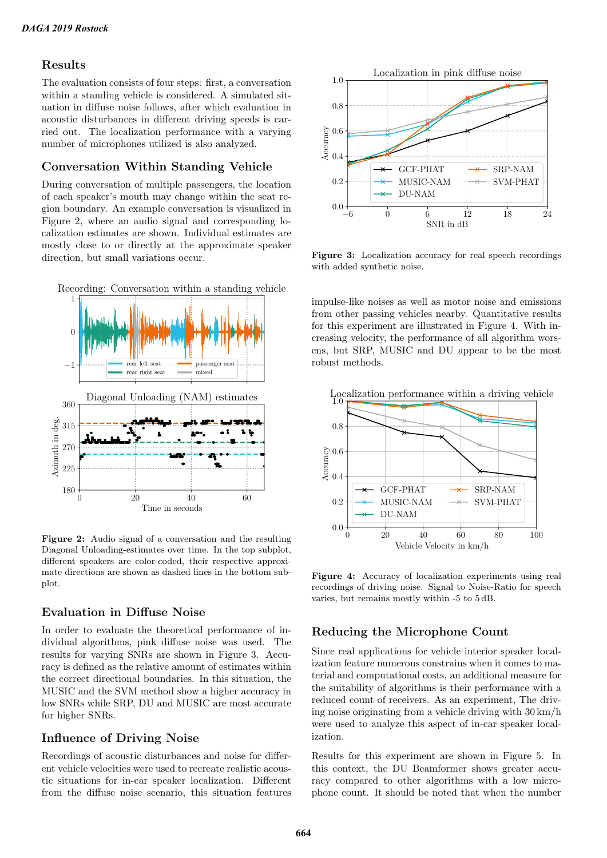## Results

The evaluation consists of four steps: first, a conversation within a standing vehicle is considered. A simulated situation in diffuse noise follows, after which evaluation in acoustic disturbances in different driving speeds is carried out. The localization performance with a varying number of microphones utilized is also analyzed.

# Conversation Within Standing Vehicle

During conversation of multiple passengers, the location of each speaker's mouth may change within the seat region boundary. An example conversation is visualized in Figure 2, where an audio signal and corresponding localization estimates are shown. Individual estimates are mostly close to or directly at the approximate speaker direction, but small variations occur.



Figure 2: Audio signal of a conversation and the resulting Diagonal Unloading-estimates over time. In the top subplot, different speakers are color-coded, their respective approximate directions are shown as dashed lines in the bottom subplot.

### Evaluation in Diffuse Noise

In order to evaluate the theoretical performance of individual algorithms, pink diffuse noise was used. The results for varying SNRs are shown in Figure 3. Accuracy is defined as the relative amount of estimates within the correct directional boundaries. In this situation, the MUSIC and the SVM method show a higher accuracy in low SNRs while SRP, DU and MUSIC are most accurate for higher SNRs.

#### Influence of Driving Noise

Recordings of acoustic disturbances and noise for different vehicle velocities were used to recreate realistic acoustic situations for in-car speaker localization. Different from the diffuse noise scenario, this situation features



Figure 3: Localization accuracy for real speech recordings with added synthetic noise.

impulse-like noises as well as motor noise and emissions from other passing vehicles nearby. Quantitative results for this experiment are illustrated in Figure 4. With increasing velocity, the performance of all algorithm worsens, but SRP, MUSIC and DU appear to be the most robust methods.



Figure 4: Accuracy of localization experiments using real recordings of driving noise. Signal to Noise-Ratio for speech varies, but remains mostly within -5 to 5 dB.

### Reducing the Microphone Count

Since real applications for vehicle interior speaker localization feature numerous constrains when it comes to material and computational costs, an additional measure for the suitability of algorithms is their performance with a reduced count of receivers. As an experiment, The driving noise originating from a vehicle driving with 30 km/h were used to analyze this aspect of in-car speaker localization.

Results for this experiment are shown in Figure 5. In this context, the DU Beamformer shows greater accuracy compared to other algorithms with a low microphone count. It should be noted that when the number